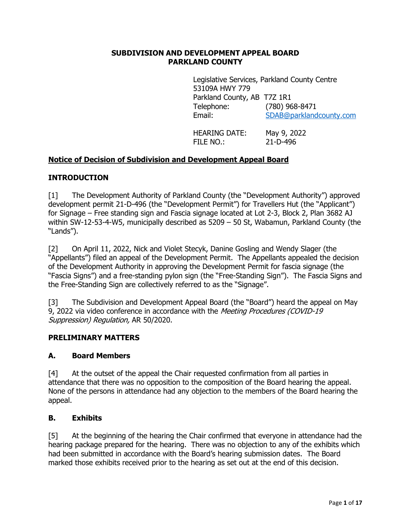#### **SUBDIVISION AND DEVELOPMENT APPEAL BOARD PARKLAND COUNTY**

Legislative Services, Parkland County Centre 53109A HWY 779 Parkland County, AB T7Z 1R1 Telephone: (780) 968-8471 Email: [SDAB@parklandcounty.com](mailto:SDAB@parklandcounty.com)

HEARING DATE: May 9, 2022 FILE NO.: 21-D-496

## **Notice of Decision of Subdivision and Development Appeal Board**

### **INTRODUCTION**

[1] The Development Authority of Parkland County (the "Development Authority") approved development permit 21-D-496 (the "Development Permit") for Travellers Hut (the "Applicant") for Signage – Free standing sign and Fascia signage located at Lot 2-3, Block 2, Plan 3682 AJ within SW-12-53-4-W5, municipally described as 5209 – 50 St, Wabamun, Parkland County (the "Lands").

[2] On April 11, 2022, Nick and Violet Stecyk, Danine Gosling and Wendy Slager (the "Appellants") filed an appeal of the Development Permit. The Appellants appealed the decision of the Development Authority in approving the Development Permit for fascia signage (the "Fascia Signs") and a free-standing pylon sign (the "Free-Standing Sign"). The Fascia Signs and the Free-Standing Sign are collectively referred to as the "Signage".

[3] The Subdivision and Development Appeal Board (the "Board") heard the appeal on May 9. 2022 via video conference in accordance with the *Meeting Procedures (COVID-19* Suppression) Regulation, AR 50/2020.

### **PRELIMINARY MATTERS**

### **A. Board Members**

[4] At the outset of the appeal the Chair requested confirmation from all parties in attendance that there was no opposition to the composition of the Board hearing the appeal. None of the persons in attendance had any objection to the members of the Board hearing the appeal.

### **B. Exhibits**

[5] At the beginning of the hearing the Chair confirmed that everyone in attendance had the hearing package prepared for the hearing. There was no objection to any of the exhibits which had been submitted in accordance with the Board's hearing submission dates. The Board marked those exhibits received prior to the hearing as set out at the end of this decision.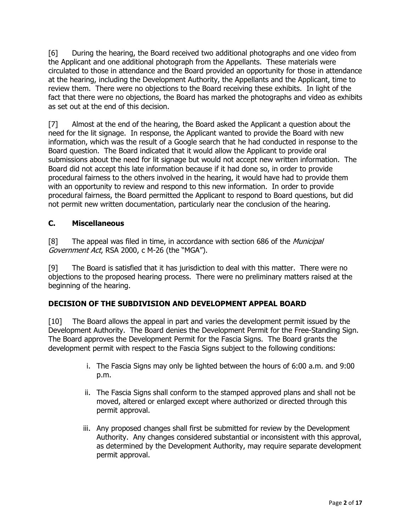[6] During the hearing, the Board received two additional photographs and one video from the Applicant and one additional photograph from the Appellants. These materials were circulated to those in attendance and the Board provided an opportunity for those in attendance at the hearing, including the Development Authority, the Appellants and the Applicant, time to review them. There were no objections to the Board receiving these exhibits. In light of the fact that there were no objections, the Board has marked the photographs and video as exhibits as set out at the end of this decision.

[7] Almost at the end of the hearing, the Board asked the Applicant a question about the need for the lit signage. In response, the Applicant wanted to provide the Board with new information, which was the result of a Google search that he had conducted in response to the Board question. The Board indicated that it would allow the Applicant to provide oral submissions about the need for lit signage but would not accept new written information. The Board did not accept this late information because if it had done so, in order to provide procedural fairness to the others involved in the hearing, it would have had to provide them with an opportunity to review and respond to this new information. In order to provide procedural fairness, the Board permitted the Applicant to respond to Board questions, but did not permit new written documentation, particularly near the conclusion of the hearing.

# **C. Miscellaneous**

[8] The appeal was filed in time, in accordance with section 686 of the *Municipal* Government Act, RSA 2000, c M-26 (the "MGA").

[9] The Board is satisfied that it has jurisdiction to deal with this matter. There were no objections to the proposed hearing process. There were no preliminary matters raised at the beginning of the hearing.

## **DECISION OF THE SUBDIVISION AND DEVELOPMENT APPEAL BOARD**

[10] The Board allows the appeal in part and varies the development permit issued by the Development Authority. The Board denies the Development Permit for the Free-Standing Sign. The Board approves the Development Permit for the Fascia Signs. The Board grants the development permit with respect to the Fascia Signs subject to the following conditions:

- i. The Fascia Signs may only be lighted between the hours of 6:00 a.m. and 9:00 p.m.
- ii. The Fascia Signs shall conform to the stamped approved plans and shall not be moved, altered or enlarged except where authorized or directed through this permit approval.
- iii. Any proposed changes shall first be submitted for review by the Development Authority. Any changes considered substantial or inconsistent with this approval, as determined by the Development Authority, may require separate development permit approval.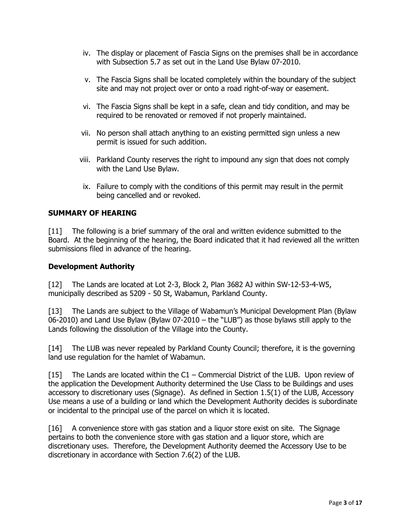- iv. The display or placement of Fascia Signs on the premises shall be in accordance with Subsection 5.7 as set out in the Land Use Bylaw 07-2010.
- v. The Fascia Signs shall be located completely within the boundary of the subject site and may not project over or onto a road right-of-way or easement.
- vi. The Fascia Signs shall be kept in a safe, clean and tidy condition, and may be required to be renovated or removed if not properly maintained.
- vii. No person shall attach anything to an existing permitted sign unless a new permit is issued for such addition.
- viii. Parkland County reserves the right to impound any sign that does not comply with the Land Use Bylaw.
- ix. Failure to comply with the conditions of this permit may result in the permit being cancelled and or revoked.

### **SUMMARY OF HEARING**

[11] The following is a brief summary of the oral and written evidence submitted to the Board. At the beginning of the hearing, the Board indicated that it had reviewed all the written submissions filed in advance of the hearing.

#### **Development Authority**

[12] The Lands are located at Lot 2-3, Block 2, Plan 3682 AJ within SW-12-53-4-W5, municipally described as 5209 - 50 St, Wabamun, Parkland County.

[13] The Lands are subject to the Village of Wabamun's Municipal Development Plan (Bylaw 06-2010) and Land Use Bylaw (Bylaw 07-2010 – the "LUB") as those bylaws still apply to the Lands following the dissolution of the Village into the County.

[14] The LUB was never repealed by Parkland County Council; therefore, it is the governing land use regulation for the hamlet of Wabamun.

[15] The Lands are located within the C1 – Commercial District of the LUB. Upon review of the application the Development Authority determined the Use Class to be Buildings and uses accessory to discretionary uses (Signage). As defined in Section 1.5(1) of the LUB, Accessory Use means a use of a building or land which the Development Authority decides is subordinate or incidental to the principal use of the parcel on which it is located.

[16] A convenience store with gas station and a liquor store exist on site. The Signage pertains to both the convenience store with gas station and a liquor store, which are discretionary uses. Therefore, the Development Authority deemed the Accessory Use to be discretionary in accordance with Section 7.6(2) of the LUB.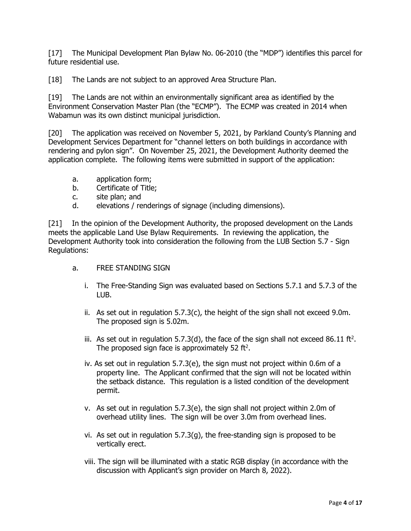[17] The Municipal Development Plan Bylaw No. 06-2010 (the "MDP") identifies this parcel for future residential use.

[18] The Lands are not subject to an approved Area Structure Plan.

[19] The Lands are not within an environmentally significant area as identified by the Environment Conservation Master Plan (the "ECMP"). The ECMP was created in 2014 when Wabamun was its own distinct municipal jurisdiction.

[20] The application was received on November 5, 2021, by Parkland County's Planning and Development Services Department for "channel letters on both buildings in accordance with rendering and pylon sign". On November 25, 2021, the Development Authority deemed the application complete. The following items were submitted in support of the application:

- a. application form;
- b. Certificate of Title;
- c. site plan; and
- d. elevations / renderings of signage (including dimensions).

[21] In the opinion of the Development Authority, the proposed development on the Lands meets the applicable Land Use Bylaw Requirements. In reviewing the application, the Development Authority took into consideration the following from the LUB Section 5.7 - Sign Regulations:

- a. FREE STANDING SIGN
	- i. The Free-Standing Sign was evaluated based on Sections 5.7.1 and 5.7.3 of the LUB.
	- ii. As set out in regulation 5.7.3(c), the height of the sign shall not exceed 9.0m. The proposed sign is 5.02m.
	- iii. As set out in regulation 5.7.3(d), the face of the sign shall not exceed 86.11 ft<sup>2</sup>. The proposed sign face is approximately 52 ft<sup>2</sup>.
	- iv. As set out in regulation 5.7.3(e), the sign must not project within 0.6m of a property line. The Applicant confirmed that the sign will not be located within the setback distance. This regulation is a listed condition of the development permit.
	- v. As set out in regulation 5.7.3(e), the sign shall not project within 2.0m of overhead utility lines. The sign will be over 3.0m from overhead lines.
	- vi. As set out in regulation 5.7.3(g), the free-standing sign is proposed to be vertically erect.
	- viii. The sign will be illuminated with a static RGB display (in accordance with the discussion with Applicant's sign provider on March 8, 2022).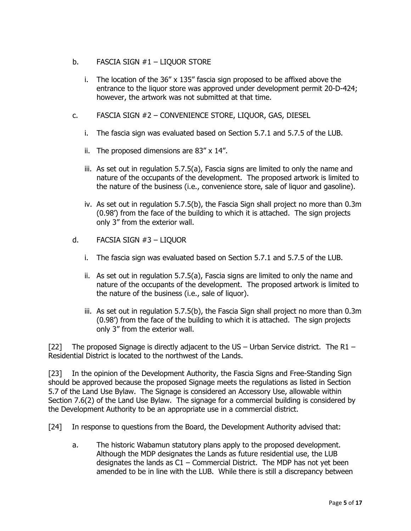- b. FASCIA SIGN #1 LIQUOR STORE
	- i. The location of the  $36'' \times 135''$  fascia sign proposed to be affixed above the entrance to the liquor store was approved under development permit 20-D-424; however, the artwork was not submitted at that time.
- c. FASCIA SIGN #2 CONVENIENCE STORE, LIQUOR, GAS, DIESEL
	- i. The fascia sign was evaluated based on Section 5.7.1 and 5.7.5 of the LUB.
	- ii. The proposed dimensions are 83" x 14".
	- iii. As set out in regulation 5.7.5(a), Fascia signs are limited to only the name and nature of the occupants of the development. The proposed artwork is limited to the nature of the business (i.e., convenience store, sale of liquor and gasoline).
	- iv. As set out in regulation 5.7.5(b), the Fascia Sign shall project no more than 0.3m (0.98') from the face of the building to which it is attached. The sign projects only 3" from the exterior wall.
- d. FACSIA SIGN #3 LIQUOR
	- i. The fascia sign was evaluated based on Section 5.7.1 and 5.7.5 of the LUB.
	- ii. As set out in regulation 5.7.5(a), Fascia signs are limited to only the name and nature of the occupants of the development. The proposed artwork is limited to the nature of the business (i.e., sale of liquor).
	- iii. As set out in regulation 5.7.5(b), the Fascia Sign shall project no more than 0.3m (0.98') from the face of the building to which it is attached. The sign projects only 3" from the exterior wall.

[22] The proposed Signage is directly adjacent to the US – Urban Service district. The R1 – Residential District is located to the northwest of the Lands.

[23] In the opinion of the Development Authority, the Fascia Signs and Free-Standing Sign should be approved because the proposed Signage meets the regulations as listed in Section 5.7 of the Land Use Bylaw. The Signage is considered an Accessory Use, allowable within Section 7.6(2) of the Land Use Bylaw. The signage for a commercial building is considered by the Development Authority to be an appropriate use in a commercial district.

[24] In response to questions from the Board, the Development Authority advised that:

a. The historic Wabamun statutory plans apply to the proposed development. Although the MDP designates the Lands as future residential use, the LUB designates the lands as  $C1 -$  Commercial District. The MDP has not yet been amended to be in line with the LUB. While there is still a discrepancy between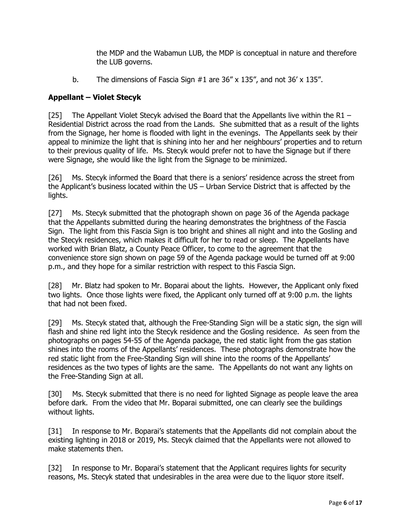the MDP and the Wabamun LUB, the MDP is conceptual in nature and therefore the LUB governs.

b. The dimensions of Fascia Sign #1 are 36" x 135", and not 36' x 135".

## **Appellant – Violet Stecyk**

[25] The Appellant Violet Stecyk advised the Board that the Appellants live within the R1 – Residential District across the road from the Lands. She submitted that as a result of the lights from the Signage, her home is flooded with light in the evenings. The Appellants seek by their appeal to minimize the light that is shining into her and her neighbours' properties and to return to their previous quality of life. Ms. Stecyk would prefer not to have the Signage but if there were Signage, she would like the light from the Signage to be minimized.

[26] Ms. Stecyk informed the Board that there is a seniors' residence across the street from the Applicant's business located within the US – Urban Service District that is affected by the lights.

[27] Ms. Stecyk submitted that the photograph shown on page 36 of the Agenda package that the Appellants submitted during the hearing demonstrates the brightness of the Fascia Sign. The light from this Fascia Sign is too bright and shines all night and into the Gosling and the Stecyk residences, which makes it difficult for her to read or sleep. The Appellants have worked with Brian Blatz, a County Peace Officer, to come to the agreement that the convenience store sign shown on page 59 of the Agenda package would be turned off at 9:00 p.m., and they hope for a similar restriction with respect to this Fascia Sign.

[28] Mr. Blatz had spoken to Mr. Boparai about the lights. However, the Applicant only fixed two lights. Once those lights were fixed, the Applicant only turned off at 9:00 p.m. the lights that had not been fixed.

[29] Ms. Stecyk stated that, although the Free-Standing Sign will be a static sign, the sign will flash and shine red light into the Stecyk residence and the Gosling residence. As seen from the photographs on pages 54-55 of the Agenda package, the red static light from the gas station shines into the rooms of the Appellants' residences. These photographs demonstrate how the red static light from the Free-Standing Sign will shine into the rooms of the Appellants' residences as the two types of lights are the same. The Appellants do not want any lights on the Free-Standing Sign at all.

[30] Ms. Stecyk submitted that there is no need for lighted Signage as people leave the area before dark. From the video that Mr. Boparai submitted, one can clearly see the buildings without lights.

[31] In response to Mr. Boparai's statements that the Appellants did not complain about the existing lighting in 2018 or 2019, Ms. Stecyk claimed that the Appellants were not allowed to make statements then.

[32] In response to Mr. Boparai's statement that the Applicant requires lights for security reasons, Ms. Stecyk stated that undesirables in the area were due to the liquor store itself.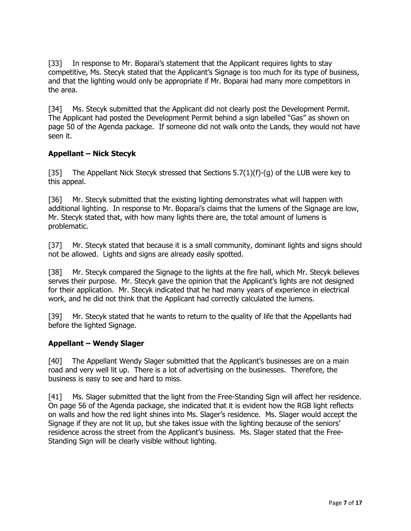[33] In response to Mr. Boparai's statement that the Applicant requires lights to stay competitive, Ms. Stecyk stated that the Applicant's Signage is too much for its type of business, and that the lighting would only be appropriate if Mr. Boparai had many more competitors in the area.

[34] Ms. Stecyk submitted that the Applicant did not clearly post the Development Permit. The Applicant had posted the Development Permit behind a sign labelled "Gas" as shown on page 50 of the Agenda package. If someone did not walk onto the Lands, they would not have seen it.

### **Appellant – Nick Stecyk**

[35] The Appellant Nick Stecyk stressed that Sections 5.7(1)(f)-(g) of the LUB were key to this appeal.

[36] Mr. Stecyk submitted that the existing lighting demonstrates what will happen with additional lighting. In response to Mr. Boparai's claims that the lumens of the Signage are low, Mr. Stecyk stated that, with how many lights there are, the total amount of lumens is problematic.

[37] Mr. Stecyk stated that because it is a small community, dominant lights and signs should not be allowed. Lights and signs are already easily spotted.

[38] Mr. Stecyk compared the Signage to the lights at the fire hall, which Mr. Stecyk believes serves their purpose. Mr. Stecyk gave the opinion that the Applicant's lights are not designed for their application. Mr. Stecyk indicated that he had many years of experience in electrical work, and he did not think that the Applicant had correctly calculated the lumens.

[39] Mr. Stecyk stated that he wants to return to the quality of life that the Appellants had before the lighted Signage.

### **Appellant – Wendy Slager**

[40] The Appellant Wendy Slager submitted that the Applicant's businesses are on a main road and very well lit up. There is a lot of advertising on the businesses. Therefore, the business is easy to see and hard to miss.

[41] Ms. Slager submitted that the light from the Free-Standing Sign will affect her residence. On page 56 of the Agenda package, she indicated that it is evident how the RGB light reflects on walls and how the red light shines into Ms. Slager's residence. Ms. Slager would accept the Signage if they are not lit up, but she takes issue with the lighting because of the seniors' residence across the street from the Applicant's business. Ms. Slager stated that the Free-Standing Sign will be clearly visible without lighting.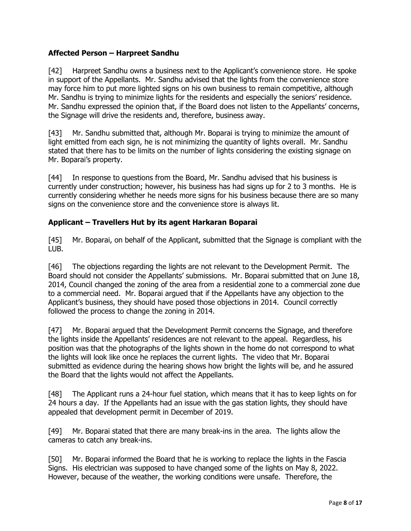## **Affected Person – Harpreet Sandhu**

[42] Harpreet Sandhu owns a business next to the Applicant's convenience store. He spoke in support of the Appellants. Mr. Sandhu advised that the lights from the convenience store may force him to put more lighted signs on his own business to remain competitive, although Mr. Sandhu is trying to minimize lights for the residents and especially the seniors' residence. Mr. Sandhu expressed the opinion that, if the Board does not listen to the Appellants' concerns, the Signage will drive the residents and, therefore, business away.

[43] Mr. Sandhu submitted that, although Mr. Boparai is trying to minimize the amount of light emitted from each sign, he is not minimizing the quantity of lights overall. Mr. Sandhu stated that there has to be limits on the number of lights considering the existing signage on Mr. Boparai's property.

[44] In response to questions from the Board, Mr. Sandhu advised that his business is currently under construction; however, his business has had signs up for 2 to 3 months. He is currently considering whether he needs more signs for his business because there are so many signs on the convenience store and the convenience store is always lit.

### **Applicant – Travellers Hut by its agent Harkaran Boparai**

[45] Mr. Boparai, on behalf of the Applicant, submitted that the Signage is compliant with the LUB.

[46] The objections regarding the lights are not relevant to the Development Permit. The Board should not consider the Appellants' submissions. Mr. Boparai submitted that on June 18, 2014, Council changed the zoning of the area from a residential zone to a commercial zone due to a commercial need. Mr. Boparai argued that if the Appellants have any objection to the Applicant's business, they should have posed those objections in 2014. Council correctly followed the process to change the zoning in 2014.

[47] Mr. Boparai argued that the Development Permit concerns the Signage, and therefore the lights inside the Appellants' residences are not relevant to the appeal. Regardless, his position was that the photographs of the lights shown in the home do not correspond to what the lights will look like once he replaces the current lights. The video that Mr. Boparai submitted as evidence during the hearing shows how bright the lights will be, and he assured the Board that the lights would not affect the Appellants.

[48] The Applicant runs a 24-hour fuel station, which means that it has to keep lights on for 24 hours a day. If the Appellants had an issue with the gas station lights, they should have appealed that development permit in December of 2019.

[49] Mr. Boparai stated that there are many break-ins in the area. The lights allow the cameras to catch any break-ins.

[50] Mr. Boparai informed the Board that he is working to replace the lights in the Fascia Signs. His electrician was supposed to have changed some of the lights on May 8, 2022. However, because of the weather, the working conditions were unsafe. Therefore, the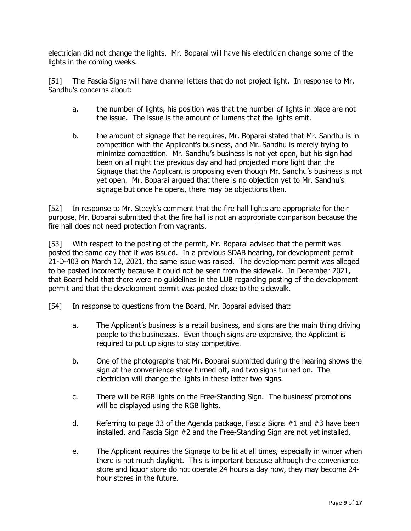electrician did not change the lights. Mr. Boparai will have his electrician change some of the lights in the coming weeks.

[51] The Fascia Signs will have channel letters that do not project light. In response to Mr. Sandhu's concerns about:

- a. the number of lights, his position was that the number of lights in place are not the issue. The issue is the amount of lumens that the lights emit.
- b. the amount of signage that he requires, Mr. Boparai stated that Mr. Sandhu is in competition with the Applicant's business, and Mr. Sandhu is merely trying to minimize competition. Mr. Sandhu's business is not yet open, but his sign had been on all night the previous day and had projected more light than the Signage that the Applicant is proposing even though Mr. Sandhu's business is not yet open. Mr. Boparai argued that there is no objection yet to Mr. Sandhu's signage but once he opens, there may be objections then.

[52] In response to Mr. Stecyk's comment that the fire hall lights are appropriate for their purpose, Mr. Boparai submitted that the fire hall is not an appropriate comparison because the fire hall does not need protection from vagrants.

[53] With respect to the posting of the permit, Mr. Boparai advised that the permit was posted the same day that it was issued. In a previous SDAB hearing, for development permit 21-D-403 on March 12, 2021, the same issue was raised. The development permit was alleged to be posted incorrectly because it could not be seen from the sidewalk. In December 2021, that Board held that there were no guidelines in the LUB regarding posting of the development permit and that the development permit was posted close to the sidewalk.

- [54] In response to questions from the Board, Mr. Boparai advised that:
	- a. The Applicant's business is a retail business, and signs are the main thing driving people to the businesses. Even though signs are expensive, the Applicant is required to put up signs to stay competitive.
	- b. One of the photographs that Mr. Boparai submitted during the hearing shows the sign at the convenience store turned off, and two signs turned on. The electrician will change the lights in these latter two signs.
	- c. There will be RGB lights on the Free-Standing Sign. The business' promotions will be displayed using the RGB lights.
	- d. Referring to page 33 of the Agenda package, Fascia Signs #1 and #3 have been installed, and Fascia Sign #2 and the Free-Standing Sign are not yet installed.
	- e. The Applicant requires the Signage to be lit at all times, especially in winter when there is not much daylight. This is important because although the convenience store and liquor store do not operate 24 hours a day now, they may become 24 hour stores in the future.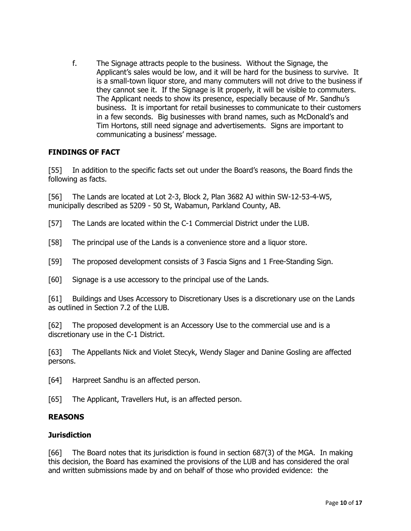f. The Signage attracts people to the business. Without the Signage, the Applicant's sales would be low, and it will be hard for the business to survive. It is a small-town liquor store, and many commuters will not drive to the business if they cannot see it. If the Signage is lit properly, it will be visible to commuters. The Applicant needs to show its presence, especially because of Mr. Sandhu's business. It is important for retail businesses to communicate to their customers in a few seconds. Big businesses with brand names, such as McDonald's and Tim Hortons, still need signage and advertisements. Signs are important to communicating a business' message.

### **FINDINGS OF FACT**

[55] In addition to the specific facts set out under the Board's reasons, the Board finds the following as facts.

[56] The Lands are located at Lot 2-3, Block 2, Plan 3682 AJ within SW-12-53-4-W5, municipally described as 5209 - 50 St, Wabamun, Parkland County, AB.

[57] The Lands are located within the C-1 Commercial District under the LUB.

[58] The principal use of the Lands is a convenience store and a liquor store.

[59] The proposed development consists of 3 Fascia Signs and 1 Free-Standing Sign.

[60] Signage is a use accessory to the principal use of the Lands.

[61] Buildings and Uses Accessory to Discretionary Uses is a discretionary use on the Lands as outlined in Section 7.2 of the LUB.

[62] The proposed development is an Accessory Use to the commercial use and is a discretionary use in the C-1 District.

[63] The Appellants Nick and Violet Stecyk, Wendy Slager and Danine Gosling are affected persons.

[64] Harpreet Sandhu is an affected person.

[65] The Applicant, Travellers Hut, is an affected person.

## **REASONS**

### **Jurisdiction**

[66] The Board notes that its jurisdiction is found in section 687(3) of the MGA. In making this decision, the Board has examined the provisions of the LUB and has considered the oral and written submissions made by and on behalf of those who provided evidence: the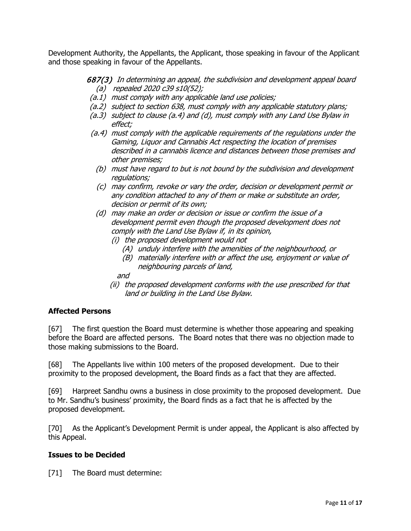Development Authority, the Appellants, the Applicant, those speaking in favour of the Applicant and those speaking in favour of the Appellants.

### 687(3) In determining an appeal, the subdivision and development appeal board (a) repealed 2020 c39 s10(52);

- (a.1) must comply with any applicable land use policies;
- (a.2) subject to section 638, must comply with any applicable statutory plans;
- (a.3) subject to clause (a.4) and (d), must comply with any Land Use Bylaw in effect;
- (a.4) must comply with the applicable requirements of the regulations under the Gaming, Liquor and Cannabis Act respecting the location of premises described in a cannabis licence and distances between those premises and other premises;
	- (b) must have regard to but is not bound by the subdivision and development regulations;
	- (c) may confirm, revoke or vary the order, decision or development permit or any condition attached to any of them or make or substitute an order, decision or permit of its own;
	- (d) may make an order or decision or issue or confirm the issue of a development permit even though the proposed development does not comply with the Land Use Bylaw if, in its opinion,
		- (i) the proposed development would not
			- (A) unduly interfere with the amenities of the neighbourhood, or
			- (B) materially interfere with or affect the use, enjoyment or value of neighbouring parcels of land,

### and

(ii) the proposed development conforms with the use prescribed for that land or building in the Land Use Bylaw.

### **Affected Persons**

[67] The first question the Board must determine is whether those appearing and speaking before the Board are affected persons. The Board notes that there was no objection made to those making submissions to the Board.

[68] The Appellants live within 100 meters of the proposed development. Due to their proximity to the proposed development, the Board finds as a fact that they are affected.

[69] Harpreet Sandhu owns a business in close proximity to the proposed development. Due to Mr. Sandhu's business' proximity, the Board finds as a fact that he is affected by the proposed development.

[70] As the Applicant's Development Permit is under appeal, the Applicant is also affected by this Appeal.

#### **Issues to be Decided**

[71] The Board must determine: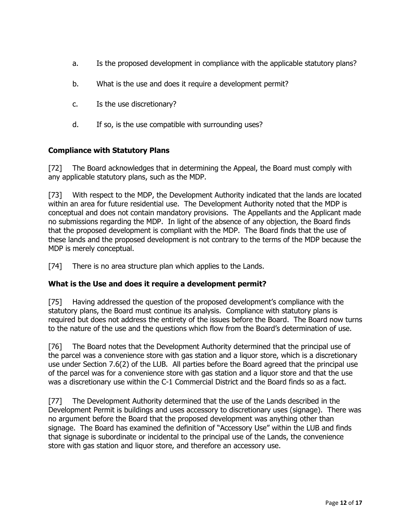- a. Is the proposed development in compliance with the applicable statutory plans?
- b. What is the use and does it require a development permit?
- c. Is the use discretionary?
- d. If so, is the use compatible with surrounding uses?

## **Compliance with Statutory Plans**

[72] The Board acknowledges that in determining the Appeal, the Board must comply with any applicable statutory plans, such as the MDP.

[73] With respect to the MDP, the Development Authority indicated that the lands are located within an area for future residential use. The Development Authority noted that the MDP is conceptual and does not contain mandatory provisions. The Appellants and the Applicant made no submissions regarding the MDP. In light of the absence of any objection, the Board finds that the proposed development is compliant with the MDP. The Board finds that the use of these lands and the proposed development is not contrary to the terms of the MDP because the MDP is merely conceptual.

[74] There is no area structure plan which applies to the Lands.

## **What is the Use and does it require a development permit?**

[75] Having addressed the question of the proposed development's compliance with the statutory plans, the Board must continue its analysis. Compliance with statutory plans is required but does not address the entirety of the issues before the Board. The Board now turns to the nature of the use and the questions which flow from the Board's determination of use.

[76] The Board notes that the Development Authority determined that the principal use of the parcel was a convenience store with gas station and a liquor store, which is a discretionary use under Section 7.6(2) of the LUB. All parties before the Board agreed that the principal use of the parcel was for a convenience store with gas station and a liquor store and that the use was a discretionary use within the C-1 Commercial District and the Board finds so as a fact.

[77] The Development Authority determined that the use of the Lands described in the Development Permit is buildings and uses accessory to discretionary uses (signage). There was no argument before the Board that the proposed development was anything other than signage. The Board has examined the definition of "Accessory Use" within the LUB and finds that signage is subordinate or incidental to the principal use of the Lands, the convenience store with gas station and liquor store, and therefore an accessory use.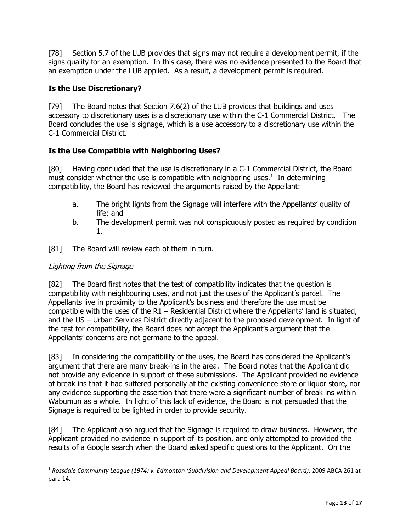[78] Section 5.7 of the LUB provides that signs may not require a development permit, if the signs qualify for an exemption. In this case, there was no evidence presented to the Board that an exemption under the LUB applied. As a result, a development permit is required.

## **Is the Use Discretionary?**

[79] The Board notes that Section 7.6(2) of the LUB provides that buildings and uses accessory to discretionary uses is a discretionary use within the C-1 Commercial District. The Board concludes the use is signage, which is a use accessory to a discretionary use within the C-1 Commercial District.

# **Is the Use Compatible with Neighboring Uses?**

[80] Having concluded that the use is discretionary in a C-1 Commercial District, the Board must consider whether the use is compatible with neighboring uses.<sup>[1](#page-12-0)</sup> In determining compatibility, the Board has reviewed the arguments raised by the Appellant:

- a. The bright lights from the Signage will interfere with the Appellants' quality of life; and
- b. The development permit was not conspicuously posted as required by condition 1.
- [81] The Board will review each of them in turn.

## Lighting from the Signage

[82] The Board first notes that the test of compatibility indicates that the question is compatibility with neighbouring uses, and not just the uses of the Applicant's parcel. The Appellants live in proximity to the Applicant's business and therefore the use must be compatible with the uses of the R1 – Residential District where the Appellants' land is situated, and the US – Urban Services District directly adjacent to the proposed development. In light of the test for compatibility, the Board does not accept the Applicant's argument that the Appellants' concerns are not germane to the appeal.

[83] In considering the compatibility of the uses, the Board has considered the Applicant's argument that there are many break-ins in the area. The Board notes that the Applicant did not provide any evidence in support of these submissions. The Applicant provided no evidence of break ins that it had suffered personally at the existing convenience store or liquor store, nor any evidence supporting the assertion that there were a significant number of break ins within Wabumun as a whole. In light of this lack of evidence, the Board is not persuaded that the Signage is required to be lighted in order to provide security.

[84] The Applicant also argued that the Signage is required to draw business. However, the Applicant provided no evidence in support of its position, and only attempted to provided the results of a Google search when the Board asked specific questions to the Applicant. On the

<span id="page-12-0"></span><sup>1</sup> *Rossdale Community League (1974) v. Edmonton (Subdivision and Development Appeal Board)*, 2009 ABCA 261 at para 14.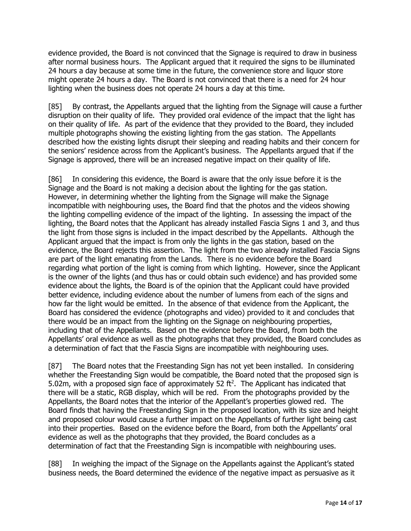evidence provided, the Board is not convinced that the Signage is required to draw in business after normal business hours. The Applicant argued that it required the signs to be illuminated 24 hours a day because at some time in the future, the convenience store and liquor store might operate 24 hours a day. The Board is not convinced that there is a need for 24 hour lighting when the business does not operate 24 hours a day at this time.

[85] By contrast, the Appellants argued that the lighting from the Signage will cause a further disruption on their quality of life. They provided oral evidence of the impact that the light has on their quality of life. As part of the evidence that they provided to the Board, they included multiple photographs showing the existing lighting from the gas station. The Appellants described how the existing lights disrupt their sleeping and reading habits and their concern for the seniors' residence across from the Applicant's business. The Appellants argued that if the Signage is approved, there will be an increased negative impact on their quality of life.

[86] In considering this evidence, the Board is aware that the only issue before it is the Signage and the Board is not making a decision about the lighting for the gas station. However, in determining whether the lighting from the Signage will make the Signage incompatible with neighbouring uses, the Board find that the photos and the videos showing the lighting compelling evidence of the impact of the lighting. In assessing the impact of the lighting, the Board notes that the Applicant has already installed Fascia Signs 1 and 3, and thus the light from those signs is included in the impact described by the Appellants. Although the Applicant argued that the impact is from only the lights in the gas station, based on the evidence, the Board rejects this assertion. The light from the two already installed Fascia Signs are part of the light emanating from the Lands. There is no evidence before the Board regarding what portion of the light is coming from which lighting. However, since the Applicant is the owner of the lights (and thus has or could obtain such evidence) and has provided some evidence about the lights, the Board is of the opinion that the Applicant could have provided better evidence, including evidence about the number of lumens from each of the signs and how far the light would be emitted. In the absence of that evidence from the Applicant, the Board has considered the evidence (photographs and video) provided to it and concludes that there would be an impact from the lighting on the Signage on neighbouring properties, including that of the Appellants. Based on the evidence before the Board, from both the Appellants' oral evidence as well as the photographs that they provided, the Board concludes as a determination of fact that the Fascia Signs are incompatible with neighbouring uses.

[87] The Board notes that the Freestanding Sign has not yet been installed. In considering whether the Freestanding Sign would be compatible, the Board noted that the proposed sign is 5.02m, with a proposed sign face of approximately 52 ft<sup>2</sup>. The Applicant has indicated that there will be a static, RGB display, which will be red. From the photographs provided by the Appellants, the Board notes that the interior of the Appellant's properties glowed red. The Board finds that having the Freestanding Sign in the proposed location, with its size and height and proposed colour would cause a further impact on the Appellants of further light being cast into their properties. Based on the evidence before the Board, from both the Appellants' oral evidence as well as the photographs that they provided, the Board concludes as a determination of fact that the Freestanding Sign is incompatible with neighbouring uses.

[88] In weighing the impact of the Signage on the Appellants against the Applicant's stated business needs, the Board determined the evidence of the negative impact as persuasive as it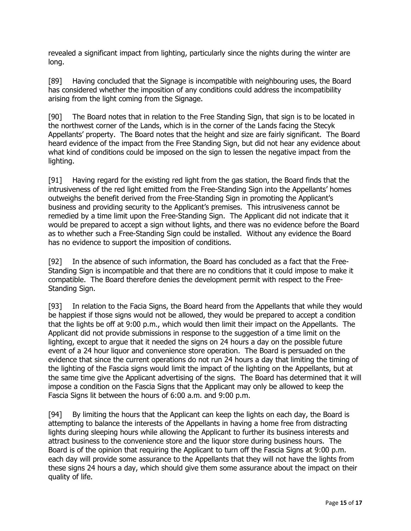revealed a significant impact from lighting, particularly since the nights during the winter are long.

[89] Having concluded that the Signage is incompatible with neighbouring uses, the Board has considered whether the imposition of any conditions could address the incompatibility arising from the light coming from the Signage.

[90] The Board notes that in relation to the Free Standing Sign, that sign is to be located in the northwest corner of the Lands, which is in the corner of the Lands facing the Stecyk Appellants' property. The Board notes that the height and size are fairly significant. The Board heard evidence of the impact from the Free Standing Sign, but did not hear any evidence about what kind of conditions could be imposed on the sign to lessen the negative impact from the lighting.

[91] Having regard for the existing red light from the gas station, the Board finds that the intrusiveness of the red light emitted from the Free-Standing Sign into the Appellants' homes outweighs the benefit derived from the Free-Standing Sign in promoting the Applicant's business and providing security to the Applicant's premises. This intrusiveness cannot be remedied by a time limit upon the Free-Standing Sign. The Applicant did not indicate that it would be prepared to accept a sign without lights, and there was no evidence before the Board as to whether such a Free-Standing Sign could be installed. Without any evidence the Board has no evidence to support the imposition of conditions.

[92] In the absence of such information, the Board has concluded as a fact that the Free-Standing Sign is incompatible and that there are no conditions that it could impose to make it compatible. The Board therefore denies the development permit with respect to the Free-Standing Sign.

[93] In relation to the Facia Signs, the Board heard from the Appellants that while they would be happiest if those signs would not be allowed, they would be prepared to accept a condition that the lights be off at 9:00 p.m., which would then limit their impact on the Appellants. The Applicant did not provide submissions in response to the suggestion of a time limit on the lighting, except to argue that it needed the signs on 24 hours a day on the possible future event of a 24 hour liquor and convenience store operation. The Board is persuaded on the evidence that since the current operations do not run 24 hours a day that limiting the timing of the lighting of the Fascia signs would limit the impact of the lighting on the Appellants, but at the same time give the Applicant advertising of the signs. The Board has determined that it will impose a condition on the Fascia Signs that the Applicant may only be allowed to keep the Fascia Signs lit between the hours of 6:00 a.m. and 9:00 p.m.

[94] By limiting the hours that the Applicant can keep the lights on each day, the Board is attempting to balance the interests of the Appellants in having a home free from distracting lights during sleeping hours while allowing the Applicant to further its business interests and attract business to the convenience store and the liquor store during business hours. The Board is of the opinion that requiring the Applicant to turn off the Fascia Signs at 9:00 p.m. each day will provide some assurance to the Appellants that they will not have the lights from these signs 24 hours a day, which should give them some assurance about the impact on their quality of life.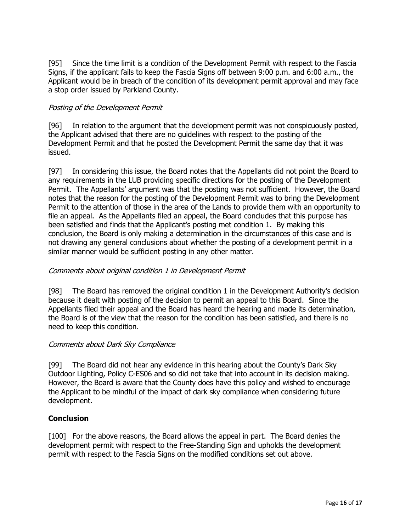[95] Since the time limit is a condition of the Development Permit with respect to the Fascia Signs, if the applicant fails to keep the Fascia Signs off between 9:00 p.m. and 6:00 a.m., the Applicant would be in breach of the condition of its development permit approval and may face a stop order issued by Parkland County.

### Posting of the Development Permit

[96] In relation to the argument that the development permit was not conspicuously posted, the Applicant advised that there are no guidelines with respect to the posting of the Development Permit and that he posted the Development Permit the same day that it was issued.

[97] In considering this issue, the Board notes that the Appellants did not point the Board to any requirements in the LUB providing specific directions for the posting of the Development Permit. The Appellants' argument was that the posting was not sufficient. However, the Board notes that the reason for the posting of the Development Permit was to bring the Development Permit to the attention of those in the area of the Lands to provide them with an opportunity to file an appeal. As the Appellants filed an appeal, the Board concludes that this purpose has been satisfied and finds that the Applicant's posting met condition 1. By making this conclusion, the Board is only making a determination in the circumstances of this case and is not drawing any general conclusions about whether the posting of a development permit in a similar manner would be sufficient posting in any other matter.

### Comments about original condition 1 in Development Permit

[98] The Board has removed the original condition 1 in the Development Authority's decision because it dealt with posting of the decision to permit an appeal to this Board. Since the Appellants filed their appeal and the Board has heard the hearing and made its determination, the Board is of the view that the reason for the condition has been satisfied, and there is no need to keep this condition.

### Comments about Dark Sky Compliance

[99] The Board did not hear any evidence in this hearing about the County's Dark Sky Outdoor Lighting, Policy C-ES06 and so did not take that into account in its decision making. However, the Board is aware that the County does have this policy and wished to encourage the Applicant to be mindful of the impact of dark sky compliance when considering future development.

### **Conclusion**

[100] For the above reasons, the Board allows the appeal in part. The Board denies the development permit with respect to the Free-Standing Sign and upholds the development permit with respect to the Fascia Signs on the modified conditions set out above.